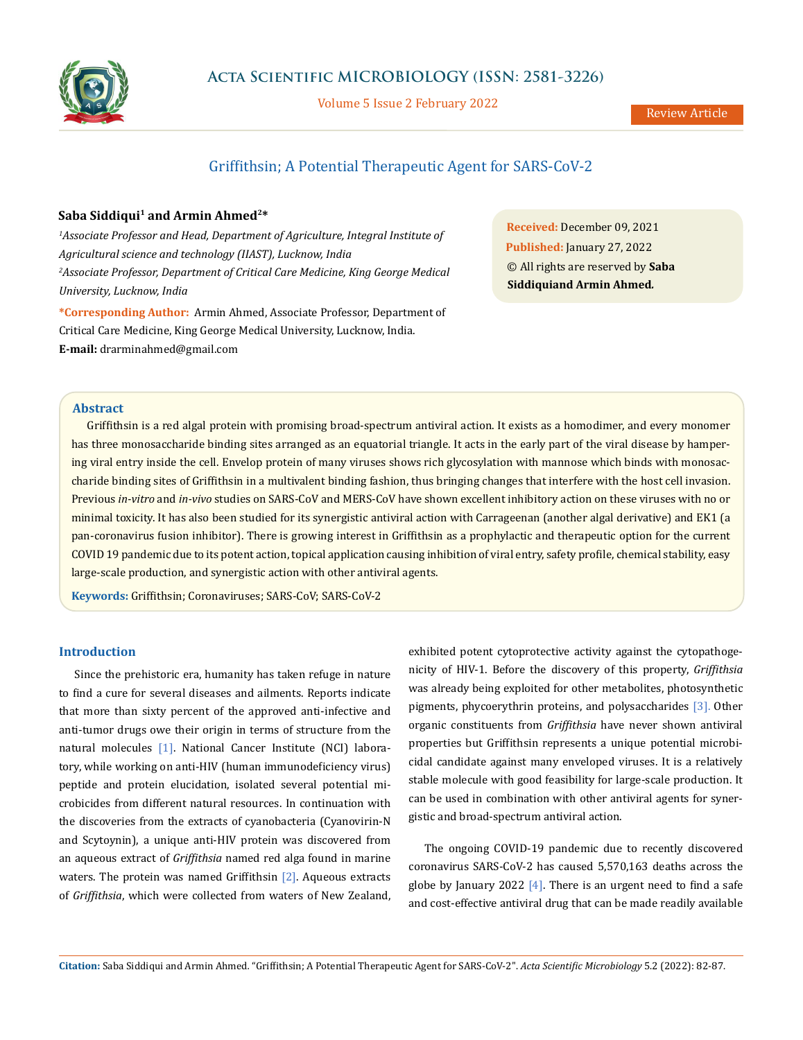

Volume 5 Issue 2 February 2022

# Griffithsin; A Potential Therapeutic Agent for SARS-CoV-2

## Saba Siddiqui<sup>1</sup> and Armin Ahmed<sup>2\*</sup>

<sup>1</sup> Associate Professor and Head, Department of Agriculture, Integral Institute of *Agricultural science and technology (IIAST), Lucknow, India* <sup>2</sup> Associate Professor, Department of Critical Care Medicine, King George Medical *University, Lucknow, India* 

**\*Corresponding Author:** Armin Ahmed, Associate Professor, Department of Critical Care Medicine, King George Medical University, Lucknow, India. **E-mail:** [drarminahmed@gmail.com](mailto:drarminahmed%40gmail.com?subject=)

**Received:** December 09, 2021 **Published:** January 27, 2022 © All rights are reserved by **Saba Siddiquiand Armin Ahmed***.*

## **Abstract**

Griffithsin is a red algal protein with promising broad-spectrum antiviral action. It exists as a homodimer, and every monomer has three monosaccharide binding sites arranged as an equatorial triangle. It acts in the early part of the viral disease by hampering viral entry inside the cell. Envelop protein of many viruses shows rich glycosylation with mannose which binds with monosaccharide binding sites of Griffithsin in a multivalent binding fashion, thus bringing changes that interfere with the host cell invasion. Previous *in-vitro* and *in-vivo* studies on SARS-CoV and MERS-CoV have shown excellent inhibitory action on these viruses with no or minimal toxicity. It has also been studied for its synergistic antiviral action with Carrageenan (another algal derivative) and EK1 (a pan-coronavirus fusion inhibitor). There is growing interest in Griffithsin as a prophylactic and therapeutic option for the current COVID 19 pandemic due to its potent action, topical application causing inhibition of viral entry, safety profile, chemical stability, easy large-scale production, and synergistic action with other antiviral agents.

**Keywords:** Griffithsin; Coronaviruses; SARS-CoV; SARS-CoV-2

## **Introduction**

Since the prehistoric era, humanity has taken refuge in nature to find a cure for several diseases and ailments. Reports indicate that more than sixty percent of the approved anti-infective and anti-tumor drugs owe their origin in terms of structure from the natural molecules [1]. National Cancer Institute (NCI) laboratory, while working on anti-HIV (human immunodeficiency virus) peptide and protein elucidation, isolated several potential microbicides from different natural resources. In continuation with the discoveries from the extracts of cyanobacteria (Cyanovirin-N and Scytoynin), a unique anti-HIV protein was discovered from an aqueous extract of *Griffithsia* named red alga found in marine waters. The protein was named Griffithsin  $[2]$ . Aqueous extracts of *Griffithsia*, which were collected from waters of New Zealand, exhibited potent cytoprotective activity against the cytopathogenicity of HIV-1. Before the discovery of this property, *Griffithsia* was already being exploited for other metabolites, photosynthetic pigments, phycoerythrin proteins, and polysaccharides [3]. Other organic constituents from *Griffithsia* have never shown antiviral properties but Griffithsin represents a unique potential microbicidal candidate against many enveloped viruses. It is a relatively stable molecule with good feasibility for large-scale production. It can be used in combination with other antiviral agents for synergistic and broad-spectrum antiviral action.

The ongoing COVID-19 pandemic due to recently discovered coronavirus SARS-CoV-2 has caused 5,570,163 deaths across the globe by January 2022  $[4]$ . There is an urgent need to find a safe and cost-effective antiviral drug that can be made readily available

**Citation:** Saba Siddiqui and Armin Ahmed*.* "Griffithsin; A Potential Therapeutic Agent for SARS-CoV-2". *Acta Scientific Microbiology* 5.2 (2022): 82-87.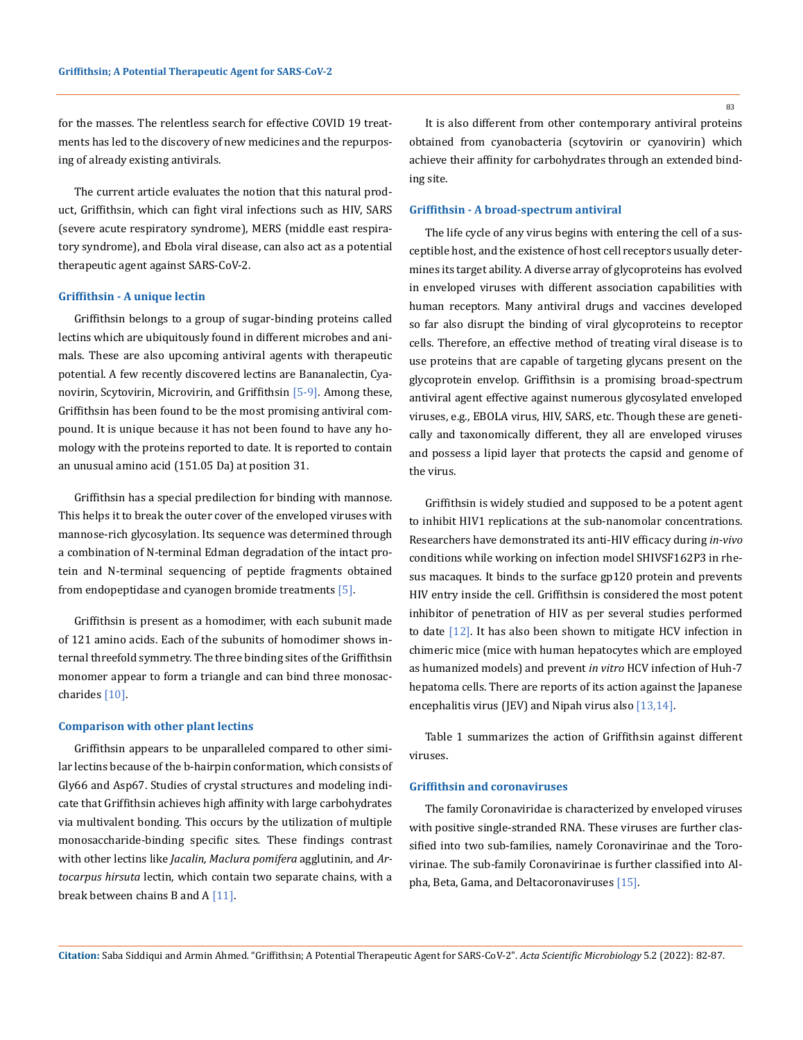for the masses. The relentless search for effective COVID 19 treatments has led to the discovery of new medicines and the repurposing of already existing antivirals.

The current article evaluates the notion that this natural product, Griffithsin, which can fight viral infections such as HIV, SARS (severe acute respiratory syndrome), MERS (middle east respiratory syndrome), and Ebola viral disease, can also act as a potential therapeutic agent against SARS-CoV-2.

#### **Griffithsin - A unique lectin**

Griffithsin belongs to a group of sugar-binding proteins called lectins which are ubiquitously found in different microbes and animals. These are also upcoming antiviral agents with therapeutic potential. A few recently discovered lectins are Bananalectin, Cyanovirin, Scytovirin, Microvirin, and Griffithsin [5-9]. Among these, Griffithsin has been found to be the most promising antiviral compound. It is unique because it has not been found to have any homology with the proteins reported to date. It is reported to contain an unusual amino acid (151.05 Da) at position 31.

Griffithsin has a special predilection for binding with mannose. This helps it to break the outer cover of the enveloped viruses with mannose-rich glycosylation. Its sequence was determined through a combination of N-terminal Edman degradation of the intact protein and N-terminal sequencing of peptide fragments obtained from endopeptidase and cyanogen bromide treatments [5].

Griffithsin is present as a homodimer, with each subunit made of 121 amino acids. Each of the subunits of homodimer shows internal threefold symmetry. The three binding sites of the Griffithsin monomer appear to form a triangle and can bind three monosaccharides [10].

#### **Comparison with other plant lectins**

Griffithsin appears to be unparalleled compared to other similar lectins because of the b-hairpin conformation, which consists of Gly66 and Asp67. Studies of crystal structures and modeling indicate that Griffithsin achieves high affinity with large carbohydrates via multivalent bonding. This occurs by the utilization of multiple monosaccharide-binding specific sites*.* These findings contrast with other lectins like *Jacalin, Maclura pomifera* agglutinin*,* and *Artocarpus hirsuta* lectin, which contain two separate chains, with a break between chains B and  $A$  [11].

83

It is also different from other contemporary antiviral proteins obtained from cyanobacteria (scytovirin or cyanovirin) which achieve their affinity for carbohydrates through an extended binding site.

#### **Griffithsin - A broad-spectrum antiviral**

The life cycle of any virus begins with entering the cell of a susceptible host, and the existence of host cell receptors usually determines its target ability. A diverse array of glycoproteins has evolved in enveloped viruses with different association capabilities with human receptors. Many antiviral drugs and vaccines developed so far also disrupt the binding of viral glycoproteins to receptor cells. Therefore, an effective method of treating viral disease is to use proteins that are capable of targeting glycans present on the glycoprotein envelop. Griffithsin is a promising broad-spectrum antiviral agent effective against numerous glycosylated enveloped viruses, e.g., EBOLA virus, HIV, SARS, etc. Though these are genetically and taxonomically different, they all are enveloped viruses and possess a lipid layer that protects the capsid and genome of the virus.

Griffithsin is widely studied and supposed to be a potent agent to inhibit HIV1 replications at the sub-nanomolar concentrations. Researchers have demonstrated its anti-HIV efficacy during *in-vivo* conditions while working on infection model SHIVSF162P3 in rhesus macaques. It binds to the surface gp120 protein and prevents HIV entry inside the cell. Griffithsin is considered the most potent inhibitor of penetration of HIV as per several studies performed to date  $[12]$ . It has also been shown to mitigate HCV infection in chimeric mice (mice with human hepatocytes which are employed as humanized models) and prevent *in vitro* HCV infection of Huh-7 hepatoma cells. There are reports of its action against the Japanese encephalitis virus (JEV) and Nipah virus also [13,14].

Table 1 summarizes the action of Griffithsin against different viruses.

#### **Griffithsin and coronaviruses**

The family Coronaviridae is characterized by enveloped viruses with positive single-stranded RNA. These viruses are further classified into two sub-families, namely Coronavirinae and the Torovirinae. The sub-family Coronavirinae is further classified into Alpha, Beta, Gama, and Deltacoronaviruses [15].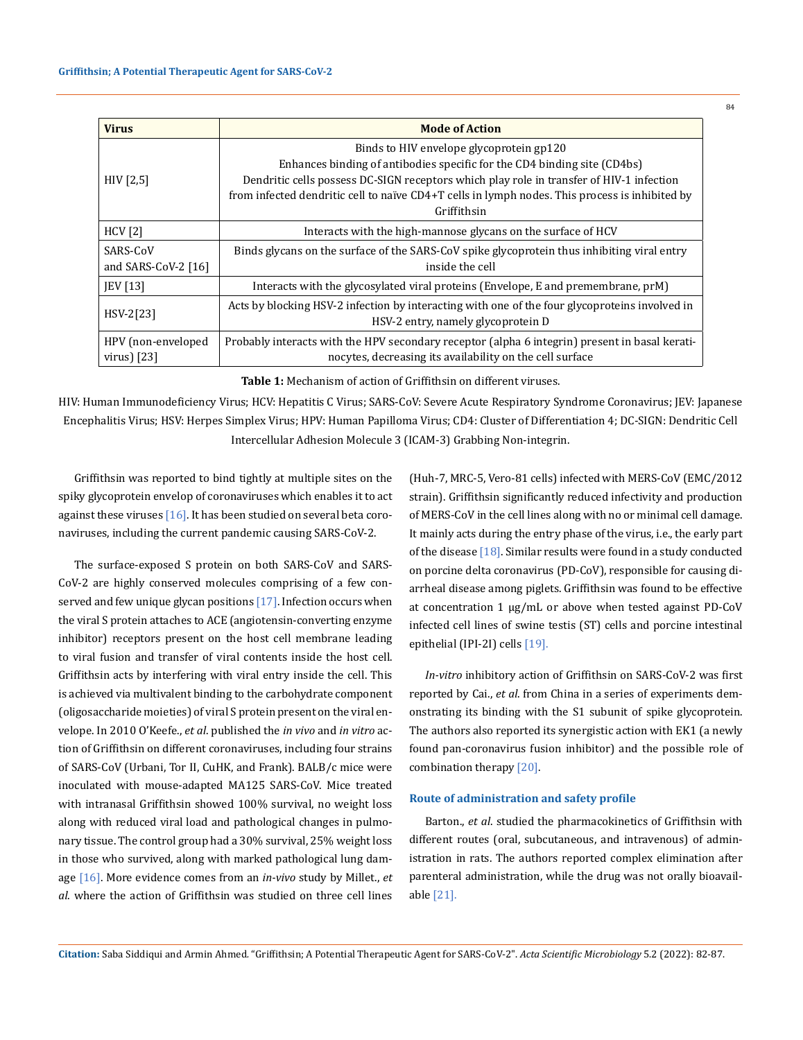| <b>Mode of Action</b>                                                                          |
|------------------------------------------------------------------------------------------------|
| Binds to HIV envelope glycoprotein gp120                                                       |
| Enhances binding of antibodies specific for the CD4 binding site (CD4bs)                       |
| Dendritic cells possess DC-SIGN receptors which play role in transfer of HIV-1 infection       |
| from infected dendritic cell to naïve CD4+T cells in lymph nodes. This process is inhibited by |
| Griffithsin                                                                                    |
| Interacts with the high-mannose glycans on the surface of HCV                                  |
| Binds glycans on the surface of the SARS-CoV spike glycoprotein thus inhibiting viral entry    |
| inside the cell                                                                                |
| Interacts with the glycosylated viral proteins (Envelope, E and premembrane, prM)              |
| Acts by blocking HSV-2 infection by interacting with one of the four glycoproteins involved in |
| HSV-2 entry, namely glycoprotein D                                                             |
| Probably interacts with the HPV secondary receptor (alpha 6 integrin) present in basal kerati- |
| nocytes, decreasing its availability on the cell surface                                       |
|                                                                                                |

**Table 1:** Mechanism of action of Griffithsin on different viruses.

HIV: Human Immunodeficiency Virus; HCV: Hepatitis C Virus; SARS-CoV: Severe Acute Respiratory Syndrome Coronavirus; JEV: Japanese Encephalitis Virus; HSV: Herpes Simplex Virus; HPV: Human Papilloma Virus; CD4: Cluster of Differentiation 4; DC-SIGN: Dendritic Cell Intercellular Adhesion Molecule 3 (ICAM-3) Grabbing Non-integrin.

Griffithsin was reported to bind tightly at multiple sites on the spiky glycoprotein envelop of coronaviruses which enables it to act against these viruses  $[16]$ . It has been studied on several beta coronaviruses, including the current pandemic causing SARS-CoV-2.

The surface-exposed S protein on both SARS-CoV and SARS-CoV-2 are highly conserved molecules comprising of a few conserved and few unique glycan positions  $[17]$ . Infection occurs when the viral S protein attaches to ACE (angiotensin-converting enzyme inhibitor) receptors present on the host cell membrane leading to viral fusion and transfer of viral contents inside the host cell. Griffithsin acts by interfering with viral entry inside the cell. This is achieved via multivalent binding to the carbohydrate component (oligosaccharide moieties) of viral S protein present on the viral envelope. In 2010 O'Keefe., *et al*. published the *in vivo* and *in vitro* action of Griffithsin on different coronaviruses, including four strains of SARS-CoV (Urbani, Tor II, CuHK, and Frank). BALB/c mice were inoculated with mouse-adapted MA125 SARS-CoV. Mice treated with intranasal Griffithsin showed 100% survival, no weight loss along with reduced viral load and pathological changes in pulmonary tissue. The control group had a 30% survival, 25% weight loss in those who survived, along with marked pathological lung damage [16]. More evidence comes from an *in-vivo* study by Millet., *et al*. where the action of Griffithsin was studied on three cell lines (Huh-7, MRC-5, Vero-81 cells) infected with MERS-CoV (EMC/2012 strain). Griffithsin significantly reduced infectivity and production of MERS-CoV in the cell lines along with no or minimal cell damage. It mainly acts during the entry phase of the virus, i.e., the early part of the disease  $[18]$ . Similar results were found in a study conducted on porcine delta coronavirus (PD-CoV), responsible for causing diarrheal disease among piglets. Griffithsin was found to be effective at concentration 1 μg/mL or above when tested against PD-CoV infected cell lines of swine testis (ST) cells and porcine intestinal epithelial (IPI-2I) cells [19].

*In-vitro* inhibitory action of Griffithsin on SARS-CoV-2 was first reported by Cai., *et al*. from China in a series of experiments demonstrating its binding with the S1 subunit of spike glycoprotein. The authors also reported its synergistic action with EK1 (a newly found pan-coronavirus fusion inhibitor) and the possible role of combination therapy [20].

#### **Route of administration and safety profile**

Barton., *et al*. studied the pharmacokinetics of Griffithsin with different routes (oral, subcutaneous, and intravenous) of administration in rats. The authors reported complex elimination after parenteral administration, while the drug was not orally bioavailable [21].

**Citation:** Saba Siddiqui and Armin Ahmed*.* "Griffithsin; A Potential Therapeutic Agent for SARS-CoV-2". *Acta Scientific Microbiology* 5.2 (2022): 82-87.

84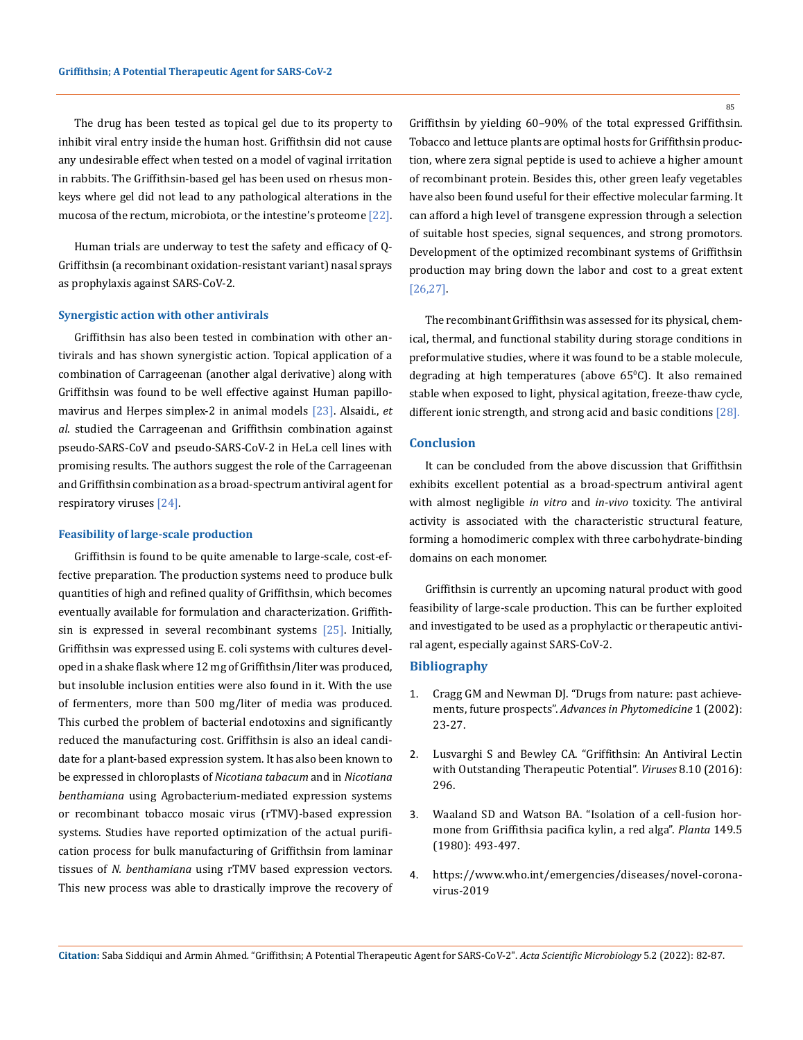The drug has been tested as topical gel due to its property to inhibit viral entry inside the human host. Griffithsin did not cause any undesirable effect when tested on a model of vaginal irritation in rabbits. The Griffithsin-based gel has been used on rhesus monkeys where gel did not lead to any pathological alterations in the mucosa of the rectum, microbiota, or the intestine's proteome [22].

Human trials are underway to test the safety and efficacy of Q-Griffithsin (a recombinant oxidation-resistant variant) nasal sprays as prophylaxis against SARS-CoV-2.

#### **Synergistic action with other antivirals**

Griffithsin has also been tested in combination with other antivirals and has shown synergistic action. Topical application of a combination of Carrageenan (another algal derivative) along with Griffithsin was found to be well effective against Human papillomavirus and Herpes simplex-2 in animal models [23]. Alsaidi., *et al*. studied the Carrageenan and Griffithsin combination against pseudo-SARS-CoV and pseudo-SARS-CoV-2 in HeLa cell lines with promising results. The authors suggest the role of the Carrageenan and Griffithsin combination as a broad-spectrum antiviral agent for respiratory viruses [24].

#### **Feasibility of large-scale production**

Griffithsin is found to be quite amenable to large-scale, cost-effective preparation. The production systems need to produce bulk quantities of high and refined quality of Griffithsin, which becomes eventually available for formulation and characterization. Griffithsin is expressed in several recombinant systems [25]. Initially, Griffithsin was expressed using E. coli systems with cultures developed in a shake flask where 12 mg of Griffithsin/liter was produced, but insoluble inclusion entities were also found in it. With the use of fermenters, more than 500 mg/liter of media was produced. This curbed the problem of bacterial endotoxins and significantly reduced the manufacturing cost. Griffithsin is also an ideal candidate for a plant-based expression system. It has also been known to be expressed in chloroplasts of *Nicotiana tabacum* and in *Nicotiana benthamiana* using Agrobacterium-mediated expression systems or recombinant tobacco mosaic virus (rTMV)-based expression systems. Studies have reported optimization of the actual purification process for bulk manufacturing of Griffithsin from laminar tissues of *N. benthamiana* using rTMV based expression vectors. This new process was able to drastically improve the recovery of Griffithsin by yielding 60–90% of the total expressed Griffithsin. Tobacco and lettuce plants are optimal hosts for Griffithsin production, where zera signal peptide is used to achieve a higher amount of recombinant protein. Besides this, other green leafy vegetables have also been found useful for their effective molecular farming. It can afford a high level of transgene expression through a selection of suitable host species, signal sequences, and strong promotors. Development of the optimized recombinant systems of Griffithsin production may bring down the labor and cost to a great extent [26,27].

The recombinant Griffithsin was assessed for its physical, chemical, thermal, and functional stability during storage conditions in preformulative studies, where it was found to be a stable molecule, degrading at high temperatures (above 65°C). It also remained stable when exposed to light, physical agitation, freeze-thaw cycle, different ionic strength, and strong acid and basic conditions [28].

## **Conclusion**

It can be concluded from the above discussion that Griffithsin exhibits excellent potential as a broad-spectrum antiviral agent with almost negligible *in vitro* and *in-vivo* toxicity. The antiviral activity is associated with the characteristic structural feature, forming a homodimeric complex with three carbohydrate-binding domains on each monomer.

Griffithsin is currently an upcoming natural product with good feasibility of large-scale production. This can be further exploited and investigated to be used as a prophylactic or therapeutic antiviral agent, especially against SARS-CoV-2.

#### **Bibliography**

- 1. [Cragg GM and Newman DJ. "Drugs from nature: past achieve](https://www.sciencedirect.com/science/article/abs/pii/S1572557X02800101)ments, future prospects". *[Advances in Phytomedicine](https://www.sciencedirect.com/science/article/abs/pii/S1572557X02800101)* 1 (2002): [23-27.](https://www.sciencedirect.com/science/article/abs/pii/S1572557X02800101)
- 2. [Lusvarghi S and Bewley CA. "Griffithsin: An Antiviral Lectin](https://www.mdpi.com/1999-4915/8/10/296) [with Outstanding Therapeutic Potential".](https://www.mdpi.com/1999-4915/8/10/296) *Viruses* 8.10 (2016): [296.](https://www.mdpi.com/1999-4915/8/10/296)
- 3. [Waaland SD and Watson BA. "Isolation of a cell-fusion hor](https://pubmed.ncbi.nlm.nih.gov/24306479/)[mone from Griffithsia pacifica kylin, a red alga".](https://pubmed.ncbi.nlm.nih.gov/24306479/) *Planta* 149.5 [\(1980\): 493-497.](https://pubmed.ncbi.nlm.nih.gov/24306479/)
- 4. [https://www.who.int/emergencies/diseases/novel-corona](https://www.who.int/emergencies/diseases/novel-coronavirus-2019)[virus-2019](https://www.who.int/emergencies/diseases/novel-coronavirus-2019)

85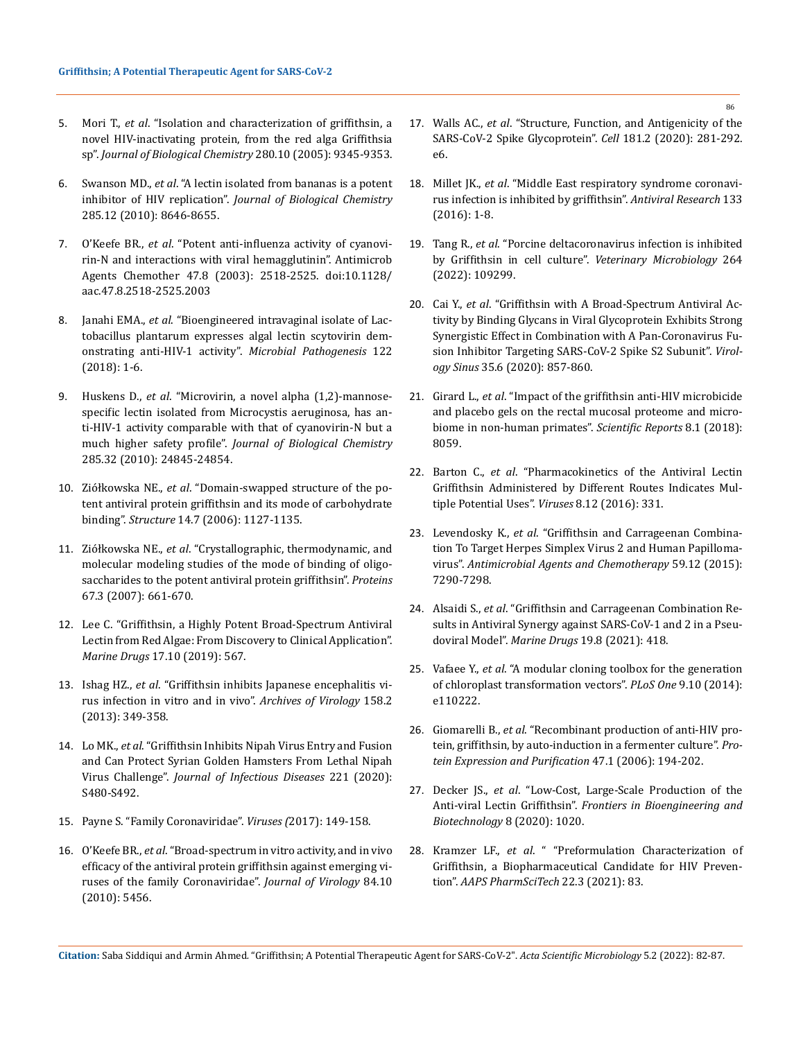- 5. Mori T., *et al*[. "Isolation and characterization of griffithsin, a](https://pubmed.ncbi.nlm.nih.gov/15613479/)  [novel HIV-inactivating protein, from the red alga Griffithsia](https://pubmed.ncbi.nlm.nih.gov/15613479/)  sp". *[Journal of Biological Chemistry](https://pubmed.ncbi.nlm.nih.gov/15613479/)* 280.10 (2005): 9345-9353.
- 6. Swanson MD., *et al*[. "A lectin isolated from bananas is a potent](https://pubmed.ncbi.nlm.nih.gov/20080975/)  inhibitor of HIV replication". *[Journal of Biological Chemistry](https://pubmed.ncbi.nlm.nih.gov/20080975/)* [285.12 \(2010\): 8646-8655.](https://pubmed.ncbi.nlm.nih.gov/20080975/)
- 7. O'Keefe BR., *et al*. "Potent anti-influenza activity of cyanovirin-N and interactions with viral hemagglutinin". Antimicrob Agents Chemother 47.8 (2003): 2518-2525. doi:10.1128/ aac.47.8.2518-2525.2003
- 8. Janahi EMA., *et al*[. "Bioengineered intravaginal isolate of Lac](https://www.sciencedirect.com/science/article/abs/pii/S0882401018306909)[tobacillus plantarum expresses algal lectin scytovirin dem](https://www.sciencedirect.com/science/article/abs/pii/S0882401018306909)[onstrating anti-HIV-1 activity".](https://www.sciencedirect.com/science/article/abs/pii/S0882401018306909) *Microbial Pathogenesis* 122 [\(2018\): 1-6.](https://www.sciencedirect.com/science/article/abs/pii/S0882401018306909)
- 9. Huskens D., *et al*[. "Microvirin, a novel alpha \(1,2\)-mannose](https://pubmed.ncbi.nlm.nih.gov/20507987/)[specific lectin isolated from Microcystis aeruginosa, has an](https://pubmed.ncbi.nlm.nih.gov/20507987/)[ti-HIV-1 activity comparable with that of cyanovirin-N but a](https://pubmed.ncbi.nlm.nih.gov/20507987/)  much higher safety profile". *[Journal of Biological Chemistry](https://pubmed.ncbi.nlm.nih.gov/20507987/)* [285.32 \(2010\): 24845-24854.](https://pubmed.ncbi.nlm.nih.gov/20507987/)
- 10. Ziółkowska NE., *et al*[. "Domain-swapped structure of the po](https://pubmed.ncbi.nlm.nih.gov/16843894/)[tent antiviral protein griffithsin and its mode of carbohydrate](https://pubmed.ncbi.nlm.nih.gov/16843894/)  binding". *Structure* [14.7 \(2006\): 1127-1135.](https://pubmed.ncbi.nlm.nih.gov/16843894/)
- 11. Ziółkowska NE., *et al*[. "Crystallographic, thermodynamic, and](https://onlinelibrary.wiley.com/doi/10.1002/prot.21336)  [molecular modeling studies of the mode of binding of oligo](https://onlinelibrary.wiley.com/doi/10.1002/prot.21336)[saccharides to the potent antiviral protein griffithsin".](https://onlinelibrary.wiley.com/doi/10.1002/prot.21336) *Proteins*  [67.3 \(2007\): 661-670.](https://onlinelibrary.wiley.com/doi/10.1002/prot.21336)
- 12. [Lee C. "Griffithsin, a Highly Potent Broad-Spectrum Antiviral](https://www.mdpi.com/1660-3397/17/10/567)  [Lectin from Red Algae: From Discovery to Clinical Application".](https://www.mdpi.com/1660-3397/17/10/567)  *Marine Drugs* [17.10 \(2019\): 567.](https://www.mdpi.com/1660-3397/17/10/567)
- 13. Ishag HZ., *et al*[. "Griffithsin inhibits Japanese encephalitis vi](https://pubmed.ncbi.nlm.nih.gov/23053519/)[rus infection in vitro and in vivo".](https://pubmed.ncbi.nlm.nih.gov/23053519/) *Archives of Virology* 158.2 [\(2013\): 349-358.](https://pubmed.ncbi.nlm.nih.gov/23053519/)
- 14. Lo MK., *et al*[. "Griffithsin Inhibits Nipah Virus Entry and Fusion](https://academic.oup.com/jid/article/221/Supplement_4/S480/5731546)  [and Can Protect Syrian Golden Hamsters From Lethal Nipah](https://academic.oup.com/jid/article/221/Supplement_4/S480/5731546)  Virus Challenge". *[Journal of Infectious Diseases](https://academic.oup.com/jid/article/221/Supplement_4/S480/5731546)* 221 (2020): [S480-S492.](https://academic.oup.com/jid/article/221/Supplement_4/S480/5731546)
- 15. [Payne S. "Family Coronaviridae".](https://www.ncbi.nlm.nih.gov/pmc/articles/PMC7149805/) *Viruses (*2017): 149-158.
- 16. O'Keefe BR., *et al*[. "Broad-spectrum in vitro activity, and in vivo](https://journals.asm.org/doi/10.1128/JVI.02322-09)  [efficacy of the antiviral protein griffithsin against emerging vi](https://journals.asm.org/doi/10.1128/JVI.02322-09)[ruses of the family Coronaviridae".](https://journals.asm.org/doi/10.1128/JVI.02322-09) *Journal of Virology* 84.10 [\(2010\): 5456.](https://journals.asm.org/doi/10.1128/JVI.02322-09)
- 17. Walls AC., *et al*[. "Structure, Function, and Antigenicity of the](https://pubmed.ncbi.nlm.nih.gov/32155444/)  [SARS-CoV-2 Spike Glycoprotein".](https://pubmed.ncbi.nlm.nih.gov/32155444/) *Cell* 181.2 (2020): 281-292. [e6.](https://pubmed.ncbi.nlm.nih.gov/32155444/)
- 18. Millet JK., *et al*[. "Middle East respiratory syndrome coronavi](https://www.sciencedirect.com/science/article/pii/S0166354216301723)[rus infection is inhibited by griffithsin".](https://www.sciencedirect.com/science/article/pii/S0166354216301723) *Antiviral Research* 133 [\(2016\): 1-8.](https://www.sciencedirect.com/science/article/pii/S0166354216301723)
- 19. Tang R., *et al*[. "Porcine deltacoronavirus infection is inhibited](https://pubmed.ncbi.nlm.nih.gov/34896854/)  [by Griffithsin in cell culture".](https://pubmed.ncbi.nlm.nih.gov/34896854/) *Veterinary Microbiology* 264 [\(2022\): 109299.](https://pubmed.ncbi.nlm.nih.gov/34896854/)
- 20. Cai Y., *et al*[. "Griffithsin with A Broad-Spectrum Antiviral Ac](https://pubmed.ncbi.nlm.nih.gov/33052520/)[tivity by Binding Glycans in Viral Glycoprotein Exhibits Strong](https://pubmed.ncbi.nlm.nih.gov/33052520/)  [Synergistic Effect in Combination with A Pan-Coronavirus Fu](https://pubmed.ncbi.nlm.nih.gov/33052520/)[sion Inhibitor Targeting SARS-CoV-2 Spike S2 Subunit".](https://pubmed.ncbi.nlm.nih.gov/33052520/) *Virology Sinus* [35.6 \(2020\): 857-860.](https://pubmed.ncbi.nlm.nih.gov/33052520/)
- 21. Girard L., *et al*[. "Impact of the griffithsin anti-HIV microbicide](https://www.nature.com/articles/s41598-018-26313-8)  [and placebo gels on the rectal mucosal proteome and micro](https://www.nature.com/articles/s41598-018-26313-8)[biome in non-human primates".](https://www.nature.com/articles/s41598-018-26313-8) *Scientific Reports* 8.1 (2018): [8059.](https://www.nature.com/articles/s41598-018-26313-8)
- 22. Barton C., *et al*[. "Pharmacokinetics of the Antiviral Lectin](https://www.mdpi.com/1999-4915/8/12/331)  [Griffithsin Administered by Different Routes Indicates Mul](https://www.mdpi.com/1999-4915/8/12/331)[tiple Potential Uses".](https://www.mdpi.com/1999-4915/8/12/331) *Viruses* 8.12 (2016): 331.
- 23. Levendosky K., *et al*[. "Griffithsin and Carrageenan Combina](https://pubmed.ncbi.nlm.nih.gov/26369967/)[tion To Target Herpes Simplex Virus 2 and Human Papilloma](https://pubmed.ncbi.nlm.nih.gov/26369967/)virus". *[Antimicrobial Agents and Chemotherapy](https://pubmed.ncbi.nlm.nih.gov/26369967/)* 59.12 (2015): [7290-7298.](https://pubmed.ncbi.nlm.nih.gov/26369967/)
- 24. Alsaidi S., *et al*[. "Griffithsin and Carrageenan Combination Re](https://doi.org/10.3390/md19080418)[sults in Antiviral Synergy against SARS-CoV-1 and 2 in a Pseu](https://doi.org/10.3390/md19080418)doviral Model". *Marine Drugs* [19.8 \(2021\): 418.](https://doi.org/10.3390/md19080418)
- 25. Vafaee Y., *et al*[. "A modular cloning toolbox for the generation](https://journals.plos.org/plosone/article?id=10.1371/journal.pone.0110222)  [of chloroplast transformation vectors".](https://journals.plos.org/plosone/article?id=10.1371/journal.pone.0110222) *PLoS One* 9.10 (2014): [e110222.](https://journals.plos.org/plosone/article?id=10.1371/journal.pone.0110222)
- 26. Giomarelli B., *et al*[. "Recombinant production of anti-HIV pro](https://pubmed.ncbi.nlm.nih.gov/16300962/)[tein, griffithsin, by auto-induction in a fermenter culture".](https://pubmed.ncbi.nlm.nih.gov/16300962/) *Pro[tein Expression and Purification](https://pubmed.ncbi.nlm.nih.gov/16300962/)* 47.1 (2006): 194-202.
- 27. Decker JS., *et al*[. "Low-Cost, Large-Scale Production of the](https://www.frontiersin.org/articles/10.3389/fbioe.2020.01020/full)  Anti-viral Lectin Griffithsin". *[Frontiers in Bioengineering and](https://www.frontiersin.org/articles/10.3389/fbioe.2020.01020/full)  [Biotechnology](https://www.frontiersin.org/articles/10.3389/fbioe.2020.01020/full)* 8 (2020): 1020.
- 28. Kramzer LF., *et al*[. " "Preformulation Characterization of](https://pubmed.ncbi.nlm.nih.gov/33625602/)  [Griffithsin, a Biopharmaceutical Candidate for HIV Preven](https://pubmed.ncbi.nlm.nih.gov/33625602/)tion". *[AAPS PharmSciTech](https://pubmed.ncbi.nlm.nih.gov/33625602/)* 22.3 (2021): 83.

**Citation:** Saba Siddiqui and Armin Ahmed*.* "Griffithsin; A Potential Therapeutic Agent for SARS-CoV-2". *Acta Scientific Microbiology* 5.2 (2022): 82-87.

86